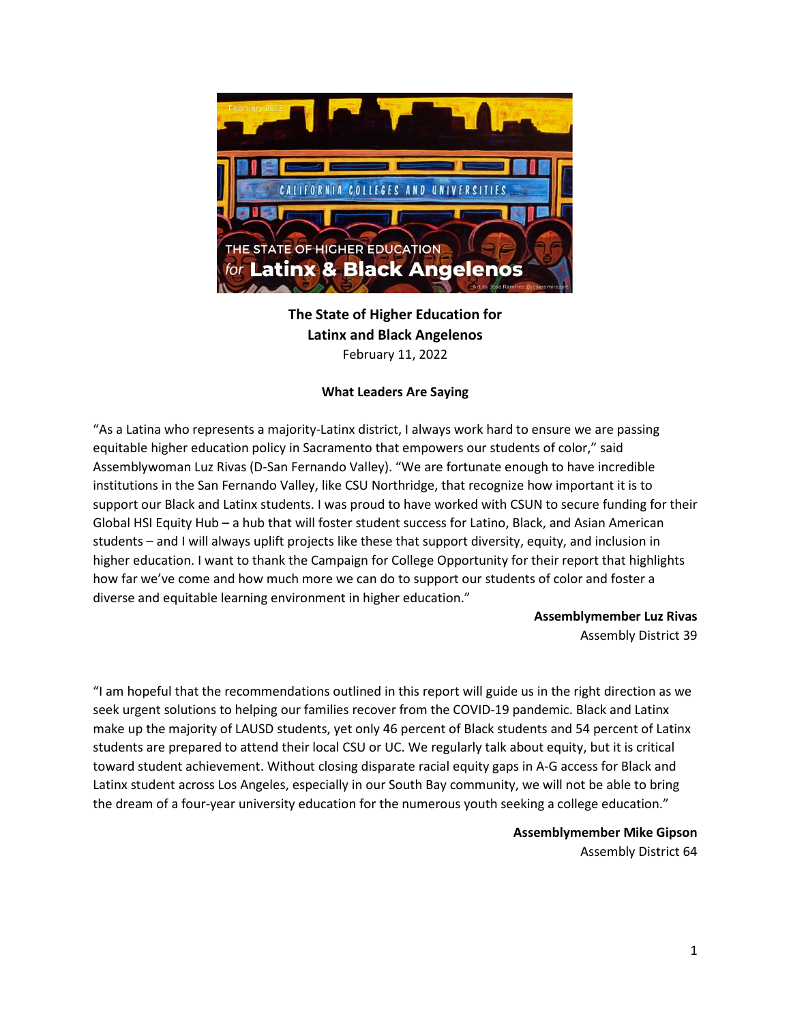

**The State of Higher Education for Latinx and Black Angelenos** February 11, 2022

## **What Leaders Are Saying**

"As a Latina who represents a majority-Latinx district, I always work hard to ensure we are passing equitable higher education policy in Sacramento that empowers our students of color," said Assemblywoman Luz Rivas (D-San Fernando Valley). "We are fortunate enough to have incredible institutions in the San Fernando Valley, like CSU Northridge, that recognize how important it is to support our Black and Latinx students. I was proud to have worked with CSUN to secure funding for their Global HSI Equity Hub – a hub that will foster student success for Latino, Black, and Asian American students – and I will always uplift projects like these that support diversity, equity, and inclusion in higher education. I want to thank the Campaign for College Opportunity for their report that highlights how far we've come and how much more we can do to support our students of color and foster a diverse and equitable learning environment in higher education."

> **Assemblymember Luz Rivas** Assembly District 39

"I am hopeful that the recommendations outlined in this report will guide us in the right direction as we seek urgent solutions to helping our families recover from the COVID-19 pandemic. Black and Latinx make up the majority of LAUSD students, yet only 46 percent of Black students and 54 percent of Latinx students are prepared to attend their local CSU or UC. We regularly talk about equity, but it is critical toward student achievement. Without closing disparate racial equity gaps in A-G access for Black and Latinx student across Los Angeles, especially in our South Bay community, we will not be able to bring the dream of a four-year university education for the numerous youth seeking a college education."

> **Assemblymember Mike Gipson** Assembly District 64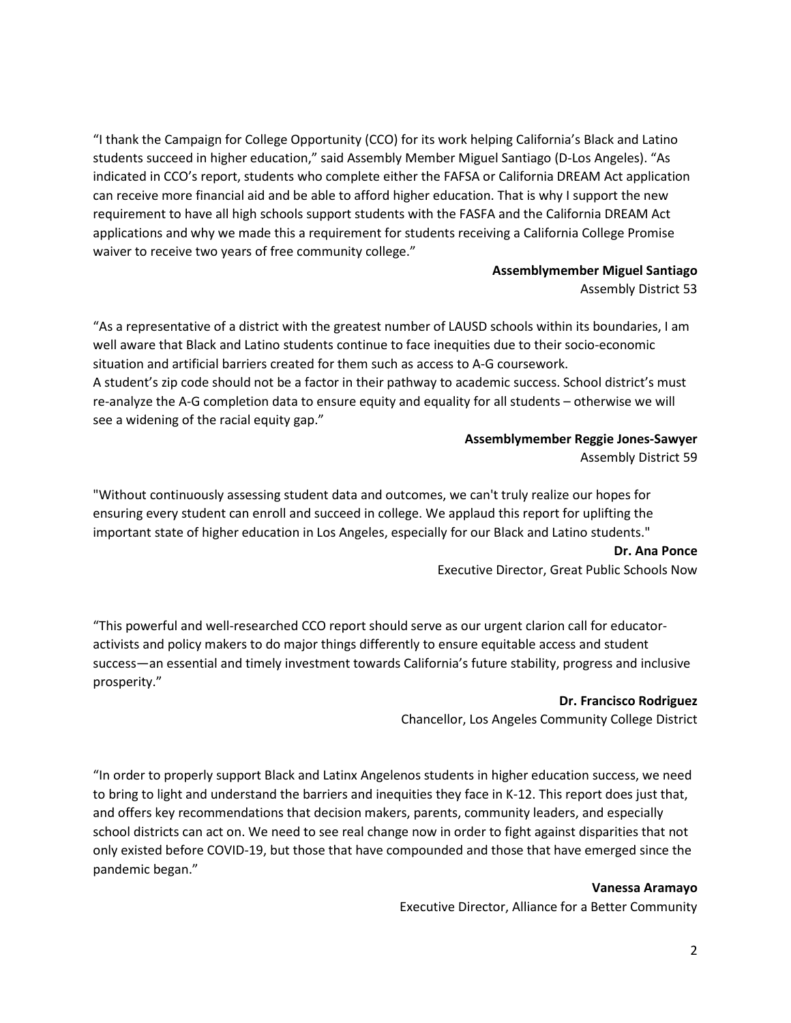"I thank the Campaign for College Opportunity (CCO) for its work helping California's Black and Latino students succeed in higher education," said Assembly Member Miguel Santiago (D-Los Angeles). "As indicated in CCO's report, students who complete either the FAFSA or California DREAM Act application can receive more financial aid and be able to afford higher education. That is why I support the new requirement to have all high schools support students with the FASFA and the California DREAM Act applications and why we made this a requirement for students receiving a California College Promise waiver to receive two years of free community college."

# **Assemblymember Miguel Santiago**

Assembly District 53

"As a representative of a district with the greatest number of LAUSD schools within its boundaries, I am well aware that Black and Latino students continue to face inequities due to their socio-economic situation and artificial barriers created for them such as access to A-G coursework. A student's zip code should not be a factor in their pathway to academic success. School district's must re-analyze the A-G completion data to ensure equity and equality for all students – otherwise we will see a widening of the racial equity gap."

#### **Assemblymember Reggie Jones-Sawyer**

Assembly District 59

"Without continuously assessing student data and outcomes, we can't truly realize our hopes for ensuring every student can enroll and succeed in college. We applaud this report for uplifting the important state of higher education in Los Angeles, especially for our Black and Latino students."

#### **Dr. Ana Ponce**

Executive Director, Great Public Schools Now

"This powerful and well-researched CCO report should serve as our urgent clarion call for educatoractivists and policy makers to do major things differently to ensure equitable access and student success—an essential and timely investment towards California's future stability, progress and inclusive prosperity."

### **Dr. Francisco Rodriguez**

Chancellor, Los Angeles Community College District

"In order to properly support Black and Latinx Angelenos students in higher education success, we need to bring to light and understand the barriers and inequities they face in K-12. This report does just that, and offers key recommendations that decision makers, parents, community leaders, and especially school districts can act on. We need to see real change now in order to fight against disparities that not only existed before COVID-19, but those that have compounded and those that have emerged since the pandemic began."

**Vanessa Aramayo**

Executive Director, Alliance for a Better Community